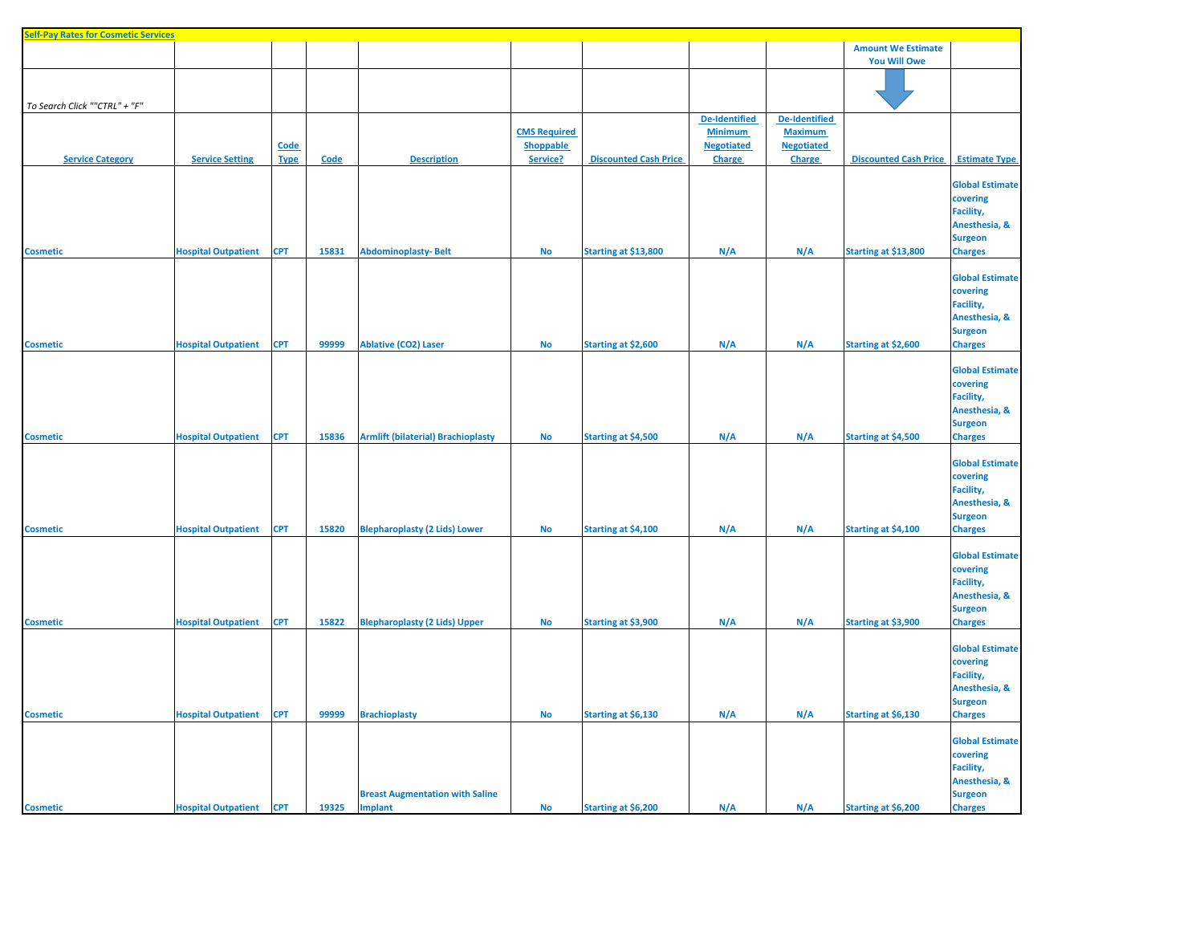| <b>Self-Pay Rates for Cosmetic Services</b> |                                |                            |       |                                                   |                                              |                              |                                                                       |                                                                       |                                                  |                                                                                                      |
|---------------------------------------------|--------------------------------|----------------------------|-------|---------------------------------------------------|----------------------------------------------|------------------------------|-----------------------------------------------------------------------|-----------------------------------------------------------------------|--------------------------------------------------|------------------------------------------------------------------------------------------------------|
|                                             |                                |                            |       |                                                   |                                              |                              |                                                                       |                                                                       | <b>Amount We Estimate</b><br><b>You Will Owe</b> |                                                                                                      |
| To Search Click ""CTRL" + "F"               |                                |                            |       |                                                   |                                              |                              |                                                                       |                                                                       |                                                  |                                                                                                      |
| <b>Service Category</b>                     | <b>Service Setting</b>         | <b>Code</b><br><b>Type</b> | Code  | <b>Description</b>                                | <b>CMS Required</b><br>Shoppable<br>Service? | <b>Discounted Cash Price</b> | <b>De-Identified</b><br><b>Minimum</b><br><b>Negotiated</b><br>Charge | <b>De-Identified</b><br><b>Maximum</b><br><b>Negotiated</b><br>Charge | <b>Discounted Cash Price</b>                     | <b>Estimate Type</b>                                                                                 |
| <b>Cosmetic</b>                             | <b>Hospital Outpatient</b>     | <b>CPT</b>                 | 15831 | <b>Abdominoplasty-Belt</b>                        | <b>No</b>                                    | Starting at \$13,800         | N/A                                                                   | N/A                                                                   | Starting at \$13,800                             | <b>Global Estimate</b><br>covering<br>Facility,<br>Anesthesia, &<br><b>Surgeon</b><br><b>Charges</b> |
|                                             |                                |                            |       |                                                   |                                              |                              |                                                                       |                                                                       |                                                  | <b>Global Estimate</b><br>covering<br>Facility,<br>Anesthesia, &<br><b>Surgeon</b>                   |
| <b>Cosmetic</b>                             | <b>Hospital Outpatient</b>     | <b>CPT</b>                 | 99999 | <b>Ablative (CO2) Laser</b>                       | <b>No</b>                                    | Starting at \$2,600          | N/A                                                                   | N/A                                                                   | Starting at \$2,600                              | <b>Charges</b>                                                                                       |
| <b>Cosmetic</b>                             | <b>Hospital Outpatient</b>     | <b>CPT</b>                 | 15836 | <b>Armlift (bilaterial) Brachioplasty</b>         | $\mathsf{No}$                                | Starting at \$4,500          | N/A                                                                   | N/A                                                                   | Starting at \$4,500                              | <b>Global Estimate</b><br>covering<br>Facility,<br>Anesthesia, &<br><b>Surgeon</b><br><b>Charges</b> |
| <b>Cosmetic</b>                             | <b>Hospital Outpatient</b>     | <b>CPT</b>                 | 15820 | <b>Blepharoplasty (2 Lids) Lower</b>              | <b>No</b>                                    | Starting at \$4,100          | N/A                                                                   | N/A                                                                   | Starting at \$4,100                              | <b>Global Estimate</b><br>covering<br>Facility,<br>Anesthesia, &<br><b>Surgeon</b><br><b>Charges</b> |
| <b>Cosmetic</b>                             | <b>Hospital Outpatient</b>     | <b>CPT</b>                 | 15822 | <b>Blepharoplasty (2 Lids) Upper</b>              | <b>No</b>                                    | Starting at \$3,900          | N/A                                                                   | N/A                                                                   | Starting at \$3,900                              | <b>Global Estimate</b><br>covering<br>Facility,<br>Anesthesia, &<br><b>Surgeon</b><br><b>Charges</b> |
| <b>Cosmetic</b>                             | <b>Hospital Outpatient</b>     | <b>CPT</b>                 | 99999 | <b>Brachioplasty</b>                              | <b>No</b>                                    | Starting at \$6,130          | N/A                                                                   | N/A                                                                   | Starting at \$6,130                              | <b>Global Estimate</b><br>covering<br>Facility,<br>Anesthesia, &<br><b>Surgeon</b><br><b>Charges</b> |
| <b>Cosmetic</b>                             | <b>Hospital Outpatient CPT</b> |                            | 19325 | <b>Breast Augmentation with Saline</b><br>Implant | No                                           | Starting at \$6,200          | N/A                                                                   | N/A                                                                   | Starting at \$6,200                              | <b>Global Estimate</b><br>covering<br>Facility,<br>Anesthesia, &<br><b>Surgeon</b><br><b>Charges</b> |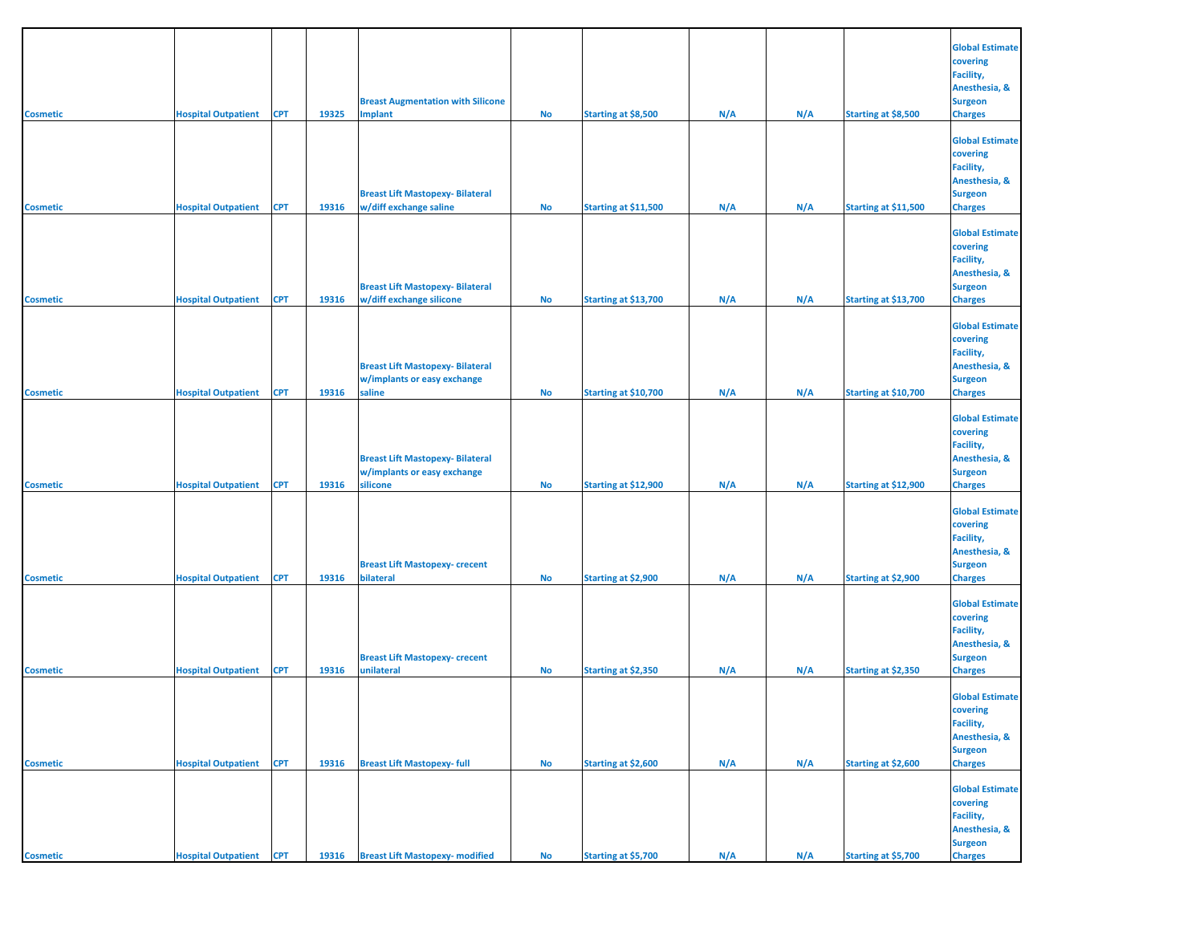| <b>Cosmetic</b> | <b>Hospital Outpatient</b>     | <b>CPT</b> | 19325 | <b>Breast Augmentation with Silicone</b><br><b>Implant</b>                         | No        | Starting at \$8,500  | N/A | N/A | Starting at \$8,500  | <b>Global Estimate</b><br>covering<br>Facility,<br>Anesthesia, &<br><b>Surgeon</b><br><b>Charges</b> |
|-----------------|--------------------------------|------------|-------|------------------------------------------------------------------------------------|-----------|----------------------|-----|-----|----------------------|------------------------------------------------------------------------------------------------------|
| <b>Cosmetic</b> | <b>Hospital Outpatient</b>     | <b>CPT</b> | 19316 | <b>Breast Lift Mastopexy-Bilateral</b><br>w/diff exchange saline                   | <b>No</b> | Starting at \$11,500 | N/A | N/A | Starting at \$11,500 | <b>Global Estimate</b><br>covering<br>Facility,<br>Anesthesia, &<br><b>Surgeon</b><br><b>Charges</b> |
| <b>Cosmetic</b> | <b>Hospital Outpatient</b>     | <b>CPT</b> | 19316 | <b>Breast Lift Mastopexy- Bilateral</b><br>w/diff exchange silicone                | No        | Starting at \$13,700 | N/A | N/A | Starting at \$13,700 | <b>Global Estimate</b><br>covering<br>Facility,<br>Anesthesia, &<br><b>Surgeon</b><br><b>Charges</b> |
| <b>Cosmetic</b> | <b>Hospital Outpatient</b>     | <b>CPT</b> | 19316 | <b>Breast Lift Mastopexy-Bilateral</b><br>w/implants or easy exchange<br>saline    | No        | Starting at \$10,700 | N/A | N/A | Starting at \$10,700 | <b>Global Estimate</b><br>covering<br>Facility,<br>Anesthesia, &<br><b>Surgeon</b><br><b>Charges</b> |
| <b>Cosmetic</b> | <b>Hospital Outpatient</b>     | <b>CPT</b> | 19316 | <b>Breast Lift Mastopexy- Bilateral</b><br>w/implants or easy exchange<br>silicone | No        | Starting at \$12,900 | N/A | N/A | Starting at \$12,900 | <b>Global Estimate</b><br>covering<br>Facility,<br>Anesthesia, &<br><b>Surgeon</b><br><b>Charges</b> |
| <b>Cosmetic</b> | <b>Hospital Outpatient</b>     | <b>CPT</b> | 19316 | <b>Breast Lift Mastopexy- crecent</b><br>bilateral                                 | <b>No</b> | Starting at \$2,900  | N/A | N/A | Starting at \$2,900  | <b>Global Estimate</b><br>covering<br>Facility,<br>Anesthesia, &<br><b>Surgeon</b><br><b>Charges</b> |
| <b>Cosmetic</b> | <b>Hospital Outpatient</b>     | <b>CPT</b> | 19316 | <b>Breast Lift Mastopexy- crecent</b><br>unilateral                                | No        | Starting at \$2,350  | N/A | N/A | Starting at \$2,350  | <b>Global Estimate</b><br>covering<br>Facility,<br>Anesthesia, &<br><b>Surgeon</b><br><b>Charges</b> |
| <b>Cosmetic</b> | <b>Hospital Outpatient</b>     | <b>CPT</b> | 19316 | <b>Breast Lift Mastopexy- full</b>                                                 | <b>No</b> | Starting at \$2,600  | N/A | N/A | Starting at \$2,600  | <b>Global Estimate</b><br>covering<br>Facility,<br>Anesthesia, &<br><b>Surgeon</b><br><b>Charges</b> |
| <b>Cosmetic</b> | <b>Hospital Outpatient CPT</b> |            | 19316 | <b>Breast Lift Mastopexy- modified</b>                                             | <b>No</b> | Starting at \$5,700  | N/A | N/A | Starting at \$5,700  | <b>Global Estimate</b><br>covering<br>Facility,<br>Anesthesia, &<br><b>Surgeon</b><br><b>Charges</b> |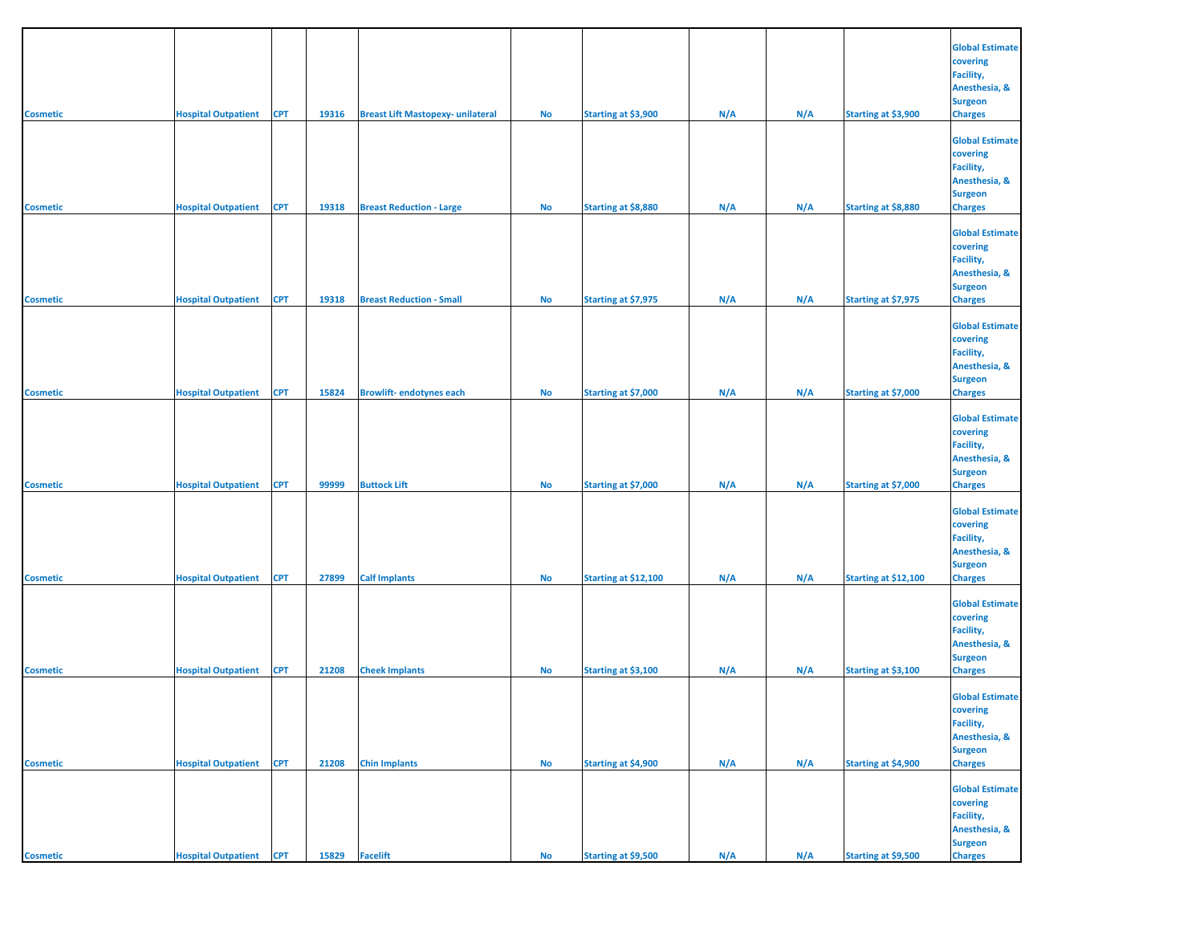|                 |                                |            |       |                                          |           |                            |     |     |                            | <b>Global Estimate</b>             |
|-----------------|--------------------------------|------------|-------|------------------------------------------|-----------|----------------------------|-----|-----|----------------------------|------------------------------------|
|                 |                                |            |       |                                          |           |                            |     |     |                            | covering<br>Facility,              |
|                 |                                |            |       |                                          |           |                            |     |     |                            | Anesthesia, &<br><b>Surgeon</b>    |
| <b>Cosmetic</b> | <b>Hospital Outpatient</b>     | <b>CPT</b> | 19316 | <b>Breast Lift Mastopexy- unilateral</b> | No        | Starting at \$3,900        | N/A | N/A | Starting at \$3,900        | <b>Charges</b>                     |
|                 |                                |            |       |                                          |           |                            |     |     |                            | <b>Global Estimate</b>             |
|                 |                                |            |       |                                          |           |                            |     |     |                            | covering<br>Facility,              |
|                 |                                |            |       |                                          |           |                            |     |     |                            | Anesthesia, &<br><b>Surgeon</b>    |
| <b>Cosmetic</b> | <b>Hospital Outpatient</b>     | <b>CPT</b> | 19318 | <b>Breast Reduction - Large</b>          | No        | Starting at \$8,880        | N/A | N/A | Starting at \$8,880        | <b>Charges</b>                     |
|                 |                                |            |       |                                          |           |                            |     |     |                            | <b>Global Estimate</b><br>covering |
|                 |                                |            |       |                                          |           |                            |     |     |                            | Facility,<br>Anesthesia, &         |
| <b>Cosmetic</b> | <b>Hospital Outpatient</b>     | <b>CPT</b> | 19318 | <b>Breast Reduction - Small</b>          | <b>No</b> | Starting at \$7,975        | N/A | N/A | Starting at \$7,975        | <b>Surgeon</b><br><b>Charges</b>   |
|                 |                                |            |       |                                          |           |                            |     |     |                            |                                    |
|                 |                                |            |       |                                          |           |                            |     |     |                            | <b>Global Estimate</b><br>covering |
|                 |                                |            |       |                                          |           |                            |     |     |                            | Facility,<br>Anesthesia, &         |
| <b>Cosmetic</b> | <b>Hospital Outpatient</b>     | <b>CPT</b> | 15824 | <b>Browlift-endotynes each</b>           | No        | Starting at \$7,000        | N/A | N/A | Starting at \$7,000        | <b>Surgeon</b><br><b>Charges</b>   |
|                 |                                |            |       |                                          |           |                            |     |     |                            | <b>Global Estimate</b>             |
|                 |                                |            |       |                                          |           |                            |     |     |                            | covering<br>Facility,              |
|                 |                                |            |       |                                          |           |                            |     |     |                            | Anesthesia, &<br><b>Surgeon</b>    |
| <b>Cosmetic</b> | <b>Hospital Outpatient</b>     | <b>CPT</b> | 99999 | <b>Buttock Lift</b>                      | No        | Starting at \$7,000        | N/A | N/A | Starting at \$7,000        | <b>Charges</b>                     |
|                 |                                |            |       |                                          |           |                            |     |     |                            | <b>Global Estimate</b>             |
|                 |                                |            |       |                                          |           |                            |     |     |                            | covering<br>Facility,              |
|                 |                                |            |       |                                          |           |                            |     |     |                            | Anesthesia, &<br><b>Surgeon</b>    |
| <b>Cosmetic</b> | <b>Hospital Outpatient</b>     | <b>CPT</b> | 27899 | <b>Calf Implants</b>                     | No        | Starting at \$12,100       | N/A | N/A | Starting at \$12,100       | <b>Charges</b>                     |
|                 |                                |            |       |                                          |           |                            |     |     |                            | <b>Global Estimate</b><br>covering |
|                 |                                |            |       |                                          |           |                            |     |     |                            | Facility,<br>Anesthesia, &         |
| <b>Cosmetic</b> | <b>Hospital Outpatient</b>     | <b>CPT</b> | 21208 | <b>Cheek Implants</b>                    | No        | Starting at \$3,100        | N/A | N/A | Starting at \$3,100        | <b>Surgeon</b><br><b>Charges</b>   |
|                 |                                |            |       |                                          |           |                            |     |     |                            | <b>Global Estimate</b>             |
|                 |                                |            |       |                                          |           |                            |     |     |                            | covering                           |
|                 |                                |            |       |                                          |           |                            |     |     |                            | Facility,<br>Anesthesia, &         |
| <b>Cosmetic</b> | <b>Hospital Outpatient</b>     | <b>CPT</b> | 21208 | <b>Chin Implants</b>                     | No        | <b>Starting at \$4,900</b> | N/A | N/A | <b>Starting at \$4,900</b> | <b>Surgeon</b><br><b>Charges</b>   |
|                 |                                |            |       |                                          |           |                            |     |     |                            | <b>Global Estimate</b>             |
|                 |                                |            |       |                                          |           |                            |     |     |                            | covering<br>Facility,              |
|                 |                                |            |       |                                          |           |                            |     |     |                            | Anesthesia, &<br><b>Surgeon</b>    |
| <b>Cosmetic</b> | <b>Hospital Outpatient CPT</b> |            | 15829 | <b>Facelift</b>                          | No        | Starting at \$9,500        | N/A | N/A | Starting at \$9,500        | <b>Charges</b>                     |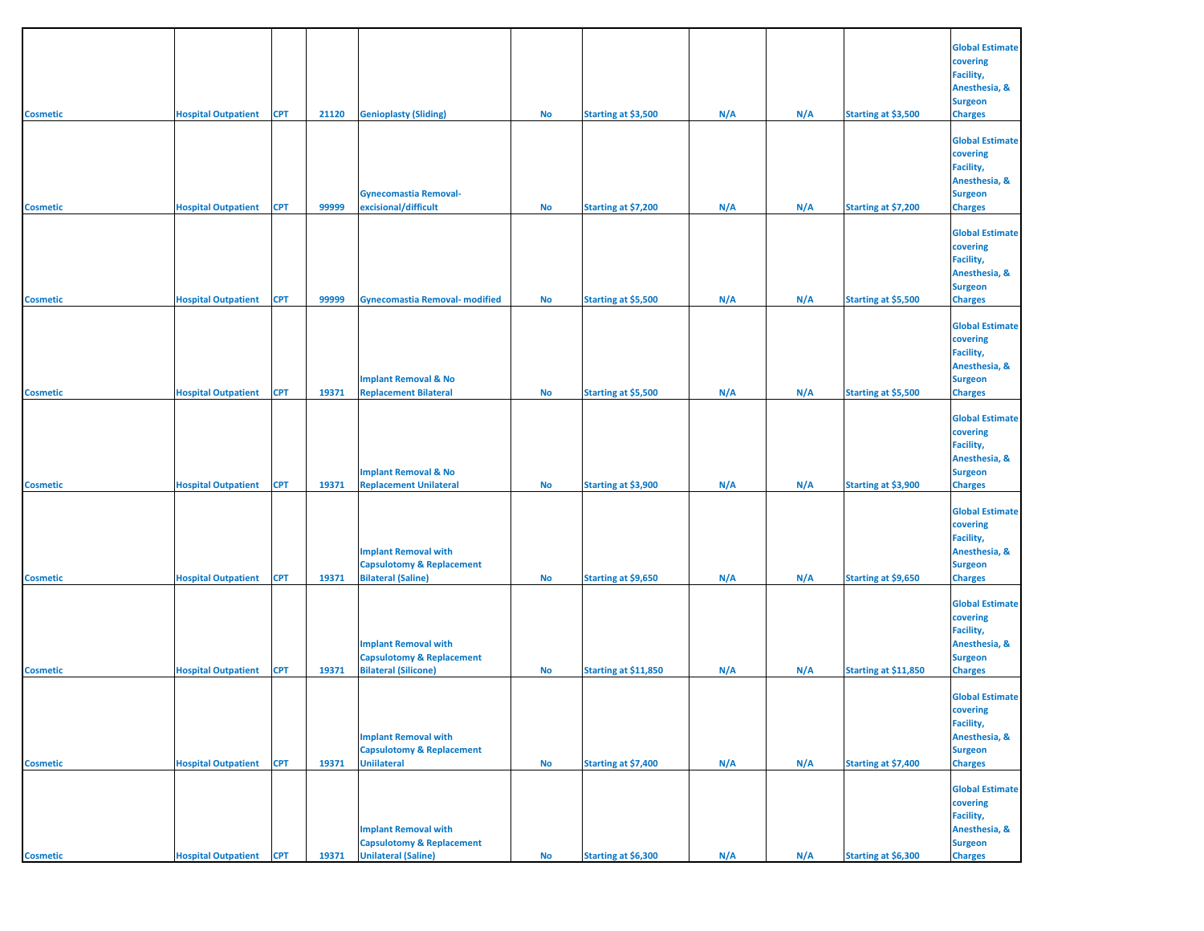| <b>Cosmetic</b> | <b>Hospital Outpatient</b>     | <b>CPT</b> | 21120 | <b>Genioplasty (Sliding)</b>                                                                      | No        | Starting at \$3,500  | N/A | N/A | Starting at \$3,500  | <b>Global Estimate</b><br>covering<br>Facility,<br>Anesthesia, &<br><b>Surgeon</b><br><b>Charges</b> |
|-----------------|--------------------------------|------------|-------|---------------------------------------------------------------------------------------------------|-----------|----------------------|-----|-----|----------------------|------------------------------------------------------------------------------------------------------|
|                 |                                |            |       |                                                                                                   |           |                      |     |     |                      | <b>Global Estimate</b><br>covering<br>Facility,<br>Anesthesia, &                                     |
| <b>Cosmetic</b> | <b>Hospital Outpatient</b>     | <b>CPT</b> | 99999 | <b>Gynecomastia Removal-</b><br>excisional/difficult                                              | <b>No</b> | Starting at \$7,200  | N/A | N/A | Starting at \$7,200  | <b>Surgeon</b><br><b>Charges</b>                                                                     |
| <b>Cosmetic</b> | <b>Hospital Outpatient</b>     | <b>CPT</b> | 99999 | <b>Gynecomastia Removal- modified</b>                                                             | No        | Starting at \$5,500  | N/A | N/A | Starting at \$5,500  | <b>Global Estimate</b><br>covering<br>Facility,<br>Anesthesia, &<br><b>Surgeon</b><br><b>Charges</b> |
|                 |                                |            |       |                                                                                                   |           |                      |     |     |                      | <b>Global Estimate</b><br>covering<br>Facility,<br>Anesthesia, &                                     |
| <b>Cosmetic</b> | <b>Hospital Outpatient</b>     | <b>CPT</b> | 19371 | <b>Implant Removal &amp; No</b><br><b>Replacement Bilateral</b>                                   | No        | Starting at \$5,500  | N/A | N/A | Starting at \$5,500  | <b>Surgeon</b><br><b>Charges</b>                                                                     |
| <b>Cosmetic</b> | <b>Hospital Outpatient</b>     | <b>CPT</b> | 19371 | <b>Implant Removal &amp; No</b><br><b>Replacement Unilateral</b>                                  | No        | Starting at \$3,900  | N/A | N/A | Starting at \$3,900  | <b>Global Estimate</b><br>covering<br>Facility,<br>Anesthesia, &<br><b>Surgeon</b><br><b>Charges</b> |
|                 |                                |            |       | <b>Implant Removal with</b><br><b>Capsulotomy &amp; Replacement</b>                               |           |                      |     |     |                      | <b>Global Estimate</b><br>covering<br>Facility,<br>Anesthesia, &<br><b>Surgeon</b>                   |
| <b>Cosmetic</b> | <b>Hospital Outpatient</b>     | <b>CPT</b> | 19371 | <b>Bilateral (Saline)</b><br><b>Implant Removal with</b><br><b>Capsulotomy &amp; Replacement</b>  | No        | Starting at \$9,650  | N/A | N/A | Starting at \$9,650  | <b>Charges</b><br><b>Global Estimate</b><br>covering<br>Facility,<br>Anesthesia, &<br><b>Surgeon</b> |
| <b>Cosmetic</b> | <b>Hospital Outpatient</b>     | <b>CPT</b> | 19371 | <b>Bilateral (Silicone)</b>                                                                       | No        | Starting at \$11,850 | N/A | N/A | Starting at \$11,850 | <b>Charges</b>                                                                                       |
| <b>Cosmetic</b> | <b>Hospital Outpatient</b>     | <b>CPT</b> | 19371 | <b>Implant Removal with</b><br><b>Capsulotomy &amp; Replacement</b><br><b>Uniilateral</b>         | No        | Starting at \$7,400  | N/A | N/A | Starting at \$7,400  | <b>Global Estimate</b><br>covering<br>Facility,<br>Anesthesia, &<br><b>Surgeon</b><br><b>Charges</b> |
| <b>Cosmetic</b> | <b>Hospital Outpatient CPT</b> |            | 19371 | <b>Implant Removal with</b><br><b>Capsulotomy &amp; Replacement</b><br><b>Unilateral (Saline)</b> | <b>No</b> | Starting at \$6,300  | N/A | N/A | Starting at \$6,300  | <b>Global Estimate</b><br>covering<br>Facility,<br>Anesthesia, &<br><b>Surgeon</b><br><b>Charges</b> |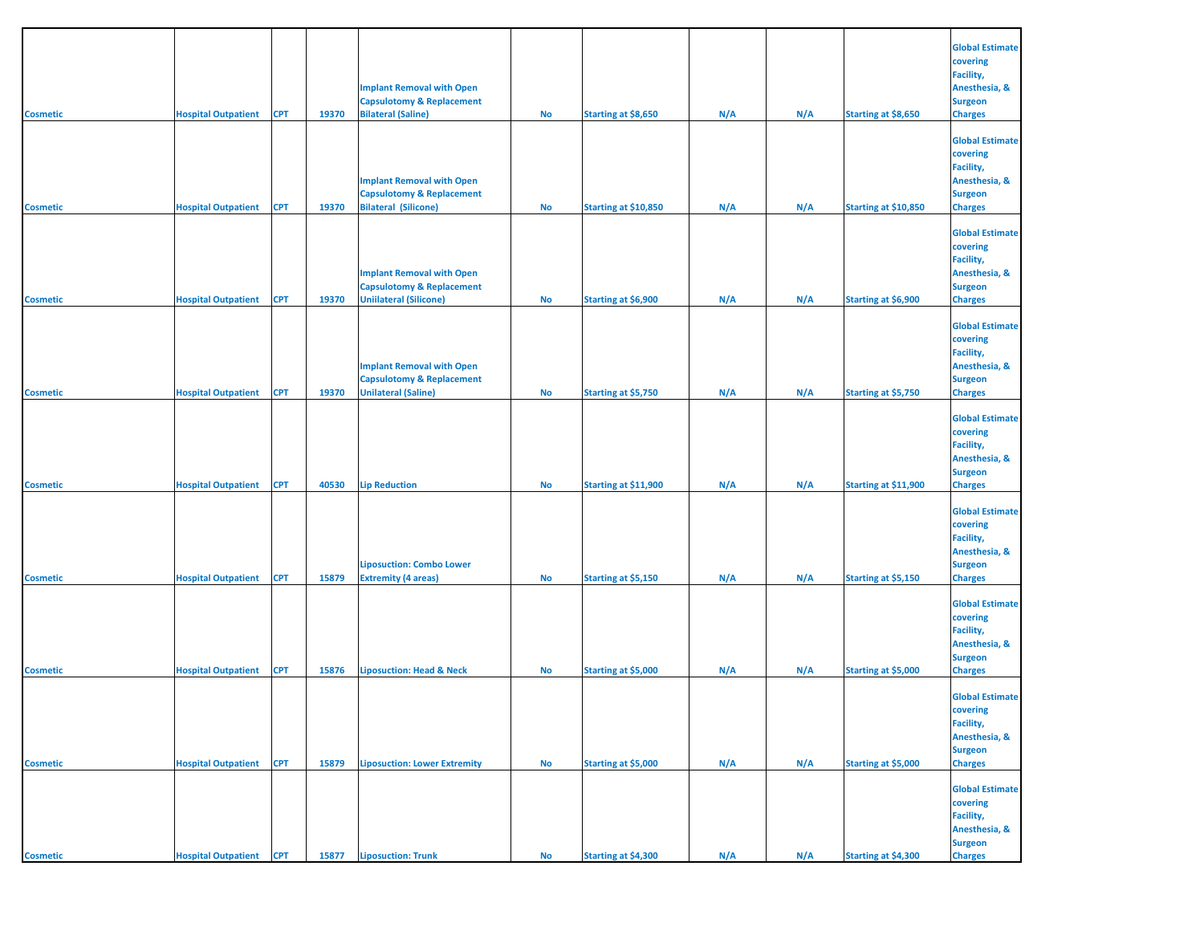| <b>Cosmetic</b> | <b>Hospital Outpatient</b>     | <b>CPT</b> | 19370 | <b>Implant Removal with Open</b><br><b>Capsulotomy &amp; Replacement</b><br><b>Bilateral (Saline)</b>     | No        | Starting at \$8,650  | N/A | N/A | Starting at \$8,650  | <b>Global Estimate</b><br>covering<br>Facility,<br>Anesthesia, &<br><b>Surgeon</b><br><b>Charges</b> |
|-----------------|--------------------------------|------------|-------|-----------------------------------------------------------------------------------------------------------|-----------|----------------------|-----|-----|----------------------|------------------------------------------------------------------------------------------------------|
| <b>Cosmetic</b> | <b>Hospital Outpatient</b>     | <b>CPT</b> | 19370 | <b>Implant Removal with Open</b><br><b>Capsulotomy &amp; Replacement</b><br><b>Bilateral (Silicone)</b>   | No        | Starting at \$10,850 | N/A | N/A | Starting at \$10,850 | <b>Global Estimate</b><br>covering<br>Facility,<br>Anesthesia, &<br><b>Surgeon</b><br><b>Charges</b> |
| <b>Cosmetic</b> | <b>Hospital Outpatient</b>     | <b>CPT</b> | 19370 | <b>Implant Removal with Open</b><br><b>Capsulotomy &amp; Replacement</b><br><b>Uniilateral (Silicone)</b> | No        | Starting at \$6,900  | N/A | N/A | Starting at \$6,900  | <b>Global Estimate</b><br>covering<br>Facility,<br>Anesthesia, &<br><b>Surgeon</b><br><b>Charges</b> |
| <b>Cosmetic</b> | <b>Hospital Outpatient</b>     | CPT        | 19370 | <b>Implant Removal with Open</b><br><b>Capsulotomy &amp; Replacement</b><br><b>Unilateral (Saline)</b>    | No        | Starting at \$5,750  | N/A | N/A | Starting at \$5,750  | <b>Global Estimate</b><br>covering<br>Facility,<br>Anesthesia, &<br><b>Surgeon</b><br><b>Charges</b> |
| <b>Cosmetic</b> | <b>Hospital Outpatient</b>     | <b>CPT</b> | 40530 | <b>Lip Reduction</b>                                                                                      | No        | Starting at \$11,900 | N/A | N/A | Starting at \$11,900 | <b>Global Estimate</b><br>covering<br>Facility,<br>Anesthesia, &<br><b>Surgeon</b><br><b>Charges</b> |
| <b>Cosmetic</b> | <b>Hospital Outpatient</b>     | <b>CPT</b> | 15879 | <b>Liposuction: Combo Lower</b><br><b>Extremity (4 areas)</b>                                             | No        | Starting at \$5,150  | N/A | N/A | Starting at \$5,150  | <b>Global Estimate</b><br>covering<br>Facility,<br>Anesthesia, &<br><b>Surgeon</b><br><b>Charges</b> |
| <b>Cosmetic</b> | <b>Hospital Outpatient</b>     | <b>CPT</b> | 15876 | <b>Liposuction: Head &amp; Neck</b>                                                                       | No        | Starting at \$5,000  | N/A | N/A | Starting at \$5,000  | <b>Global Estimate</b><br>covering<br>Facility,<br>Anesthesia, &<br><b>Surgeon</b><br><b>Charges</b> |
| <b>Cosmetic</b> | <b>Hospital Outpatient</b>     | <b>CPT</b> | 15879 | <b>Liposuction: Lower Extremity</b>                                                                       | No        | Starting at \$5,000  | N/A | N/A | Starting at \$5,000  | <b>Global Estimate</b><br>covering<br>Facility,<br>Anesthesia, &<br><b>Surgeon</b><br><b>Charges</b> |
| <b>Cosmetic</b> | <b>Hospital Outpatient CPT</b> |            | 15877 | <b>Liposuction: Trunk</b>                                                                                 | <b>No</b> | Starting at \$4,300  | N/A | N/A | Starting at \$4,300  | <b>Global Estimate</b><br>covering<br>Facility,<br>Anesthesia, &<br><b>Surgeon</b><br><b>Charges</b> |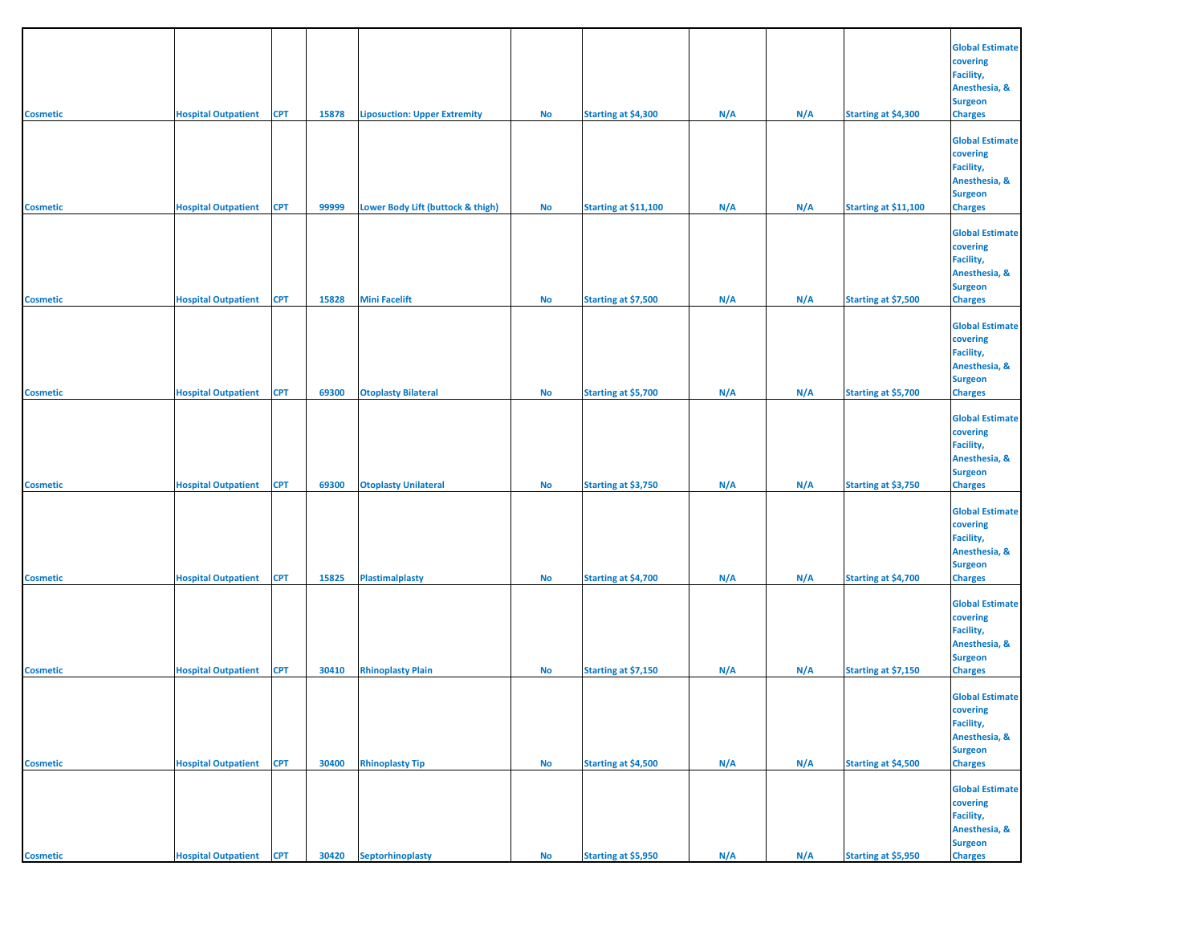| <b>Cosmetic</b>                    | <b>Hospital Outpatient</b>                               | <b>CPT</b>               | 15878          | <b>Liposuction: Upper Extremity</b>                       | No        | Starting at \$4,300                        | N/A        | N/A        | Starting at \$4,300                        | <b>Global Estimate</b><br>covering<br>Facility,<br>Anesthesia, &<br><b>Surgeon</b><br><b>Charges</b>                   |
|------------------------------------|----------------------------------------------------------|--------------------------|----------------|-----------------------------------------------------------|-----------|--------------------------------------------|------------|------------|--------------------------------------------|------------------------------------------------------------------------------------------------------------------------|
|                                    |                                                          |                          |                |                                                           |           |                                            |            |            |                                            | <b>Global Estimate</b><br>covering<br>Facility,<br>Anesthesia, &<br><b>Surgeon</b>                                     |
| <b>Cosmetic</b>                    | <b>Hospital Outpatient</b><br><b>Hospital Outpatient</b> | <b>CPT</b><br><b>CPT</b> | 99999<br>15828 | Lower Body Lift (buttock & thigh)<br><b>Mini Facelift</b> | No<br>No  | Starting at \$11,100                       | N/A<br>N/A | N/A<br>N/A | Starting at \$11,100                       | <b>Charges</b><br><b>Global Estimate</b><br>covering<br>Facility,<br>Anesthesia, &<br><b>Surgeon</b><br><b>Charges</b> |
| <b>Cosmetic</b>                    |                                                          |                          |                |                                                           |           | Starting at \$7,500                        |            |            | Starting at \$7,500                        | <b>Global Estimate</b><br>covering<br>Facility,<br>Anesthesia, &<br><b>Surgeon</b>                                     |
| <b>Cosmetic</b>                    | <b>Hospital Outpatient</b>                               | <b>CPT</b>               | 69300          | <b>Otoplasty Bilateral</b>                                | No        | Starting at \$5,700                        | N/A        | N/A        | Starting at \$5,700                        | <b>Charges</b><br><b>Global Estimate</b><br>covering<br>Facility,<br>Anesthesia, &<br><b>Surgeon</b>                   |
| <b>Cosmetic</b><br><b>Cosmetic</b> | <b>Hospital Outpatient</b><br><b>Hospital Outpatient</b> | <b>CPT</b><br><b>CPT</b> | 69300<br>15825 | <b>Otoplasty Unilateral</b><br><b>Plastimalplasty</b>     | No<br>No  | Starting at \$3,750<br>Starting at \$4,700 | N/A<br>N/A | N/A<br>N/A | Starting at \$3,750<br>Starting at \$4,700 | <b>Charges</b><br><b>Global Estimate</b><br>covering<br>Facility,<br>Anesthesia, &<br><b>Surgeon</b><br><b>Charges</b> |
| <b>Cosmetic</b>                    | <b>Hospital Outpatient</b>                               | <b>CPT</b>               | 30410          | <b>Rhinoplasty Plain</b>                                  | <b>No</b> | Starting at \$7,150                        | N/A        | N/A        | Starting at \$7,150                        | <b>Global Estimate</b><br>covering<br>Facility,<br>Anesthesia, &<br><b>Surgeon</b><br><b>Charges</b>                   |
| <b>Cosmetic</b>                    | <b>Hospital Outpatient</b>                               | <b>CPT</b>               | 30400          | <b>Rhinoplasty Tip</b>                                    | No        | Starting at \$4,500                        | N/A        | N/A        | <b>Starting at \$4,500</b>                 | <b>Global Estimate</b><br>covering<br>Facility,<br>Anesthesia, &<br><b>Surgeon</b><br><b>Charges</b>                   |
| <b>Cosmetic</b>                    | <b>Hospital Outpatient CPT</b>                           |                          | 30420          | Septorhinoplasty                                          | <b>No</b> | Starting at \$5,950                        | N/A        | N/A        | Starting at \$5,950                        | <b>Global Estimate</b><br>covering<br>Facility,<br>Anesthesia, &<br><b>Surgeon</b><br><b>Charges</b>                   |